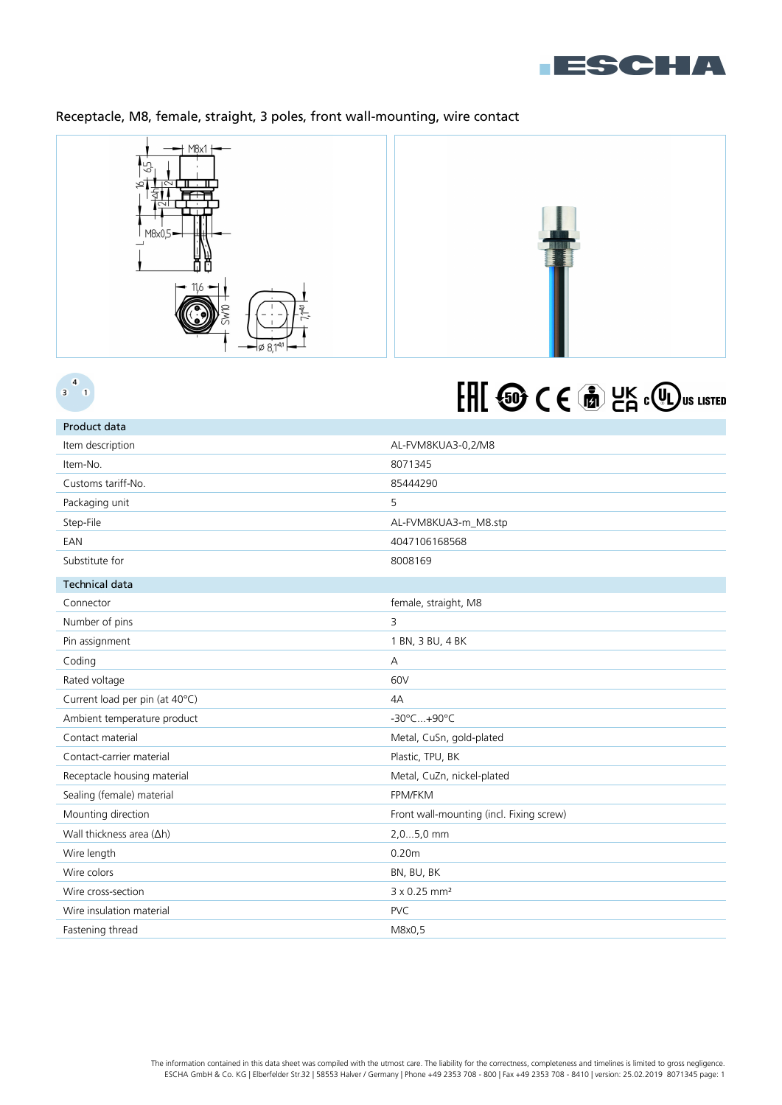

## Receptacle, M8, female, straight, 3 poles, front wall-mounting, wire contact



 $\begin{array}{c} 4 \\ 3 \end{array}$ 



## 

| Product data                   |                                          |
|--------------------------------|------------------------------------------|
| Item description               | AL-FVM8KUA3-0,2/M8                       |
| Item-No.                       | 8071345                                  |
| Customs tariff-No.             | 85444290                                 |
| Packaging unit                 | 5                                        |
| Step-File                      | AL-FVM8KUA3-m_M8.stp                     |
| EAN                            | 4047106168568                            |
| Substitute for                 | 8008169                                  |
| <b>Technical data</b>          |                                          |
| Connector                      | female, straight, M8                     |
| Number of pins                 | 3                                        |
| Pin assignment                 | 1 BN, 3 BU, 4 BK                         |
| Coding                         | А                                        |
| Rated voltage                  | 60V                                      |
| Current load per pin (at 40°C) | 4A                                       |
| Ambient temperature product    | -30°C+90°C                               |
| Contact material               | Metal, CuSn, gold-plated                 |
| Contact-carrier material       | Plastic, TPU, BK                         |
| Receptacle housing material    | Metal, CuZn, nickel-plated               |
| Sealing (female) material      | FPM/FKM                                  |
| Mounting direction             | Front wall-mounting (incl. Fixing screw) |
| Wall thickness area (Δh)       | 2,05,0 mm                                |
| Wire length                    | 0.20 <sub>m</sub>                        |
| Wire colors                    | BN, BU, BK                               |
| Wire cross-section             | 3 x 0.25 mm <sup>2</sup>                 |
| Wire insulation material       | <b>PVC</b>                               |
| Fastening thread               | M8x0,5                                   |